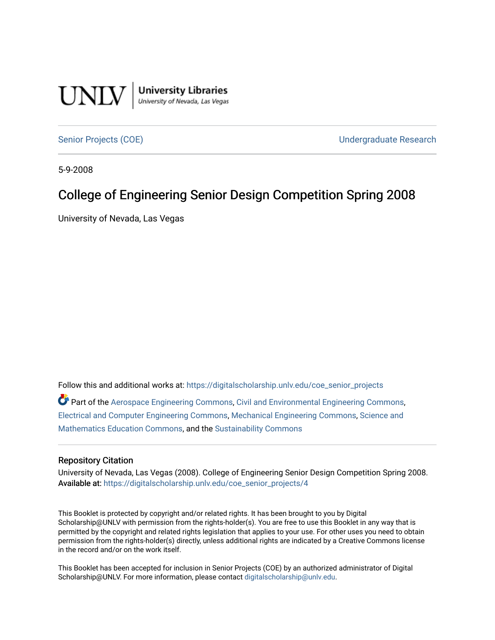

[Senior Projects \(COE\)](https://digitalscholarship.unlv.edu/coe_senior_projects) [Undergraduate Research](https://digitalscholarship.unlv.edu/coe_ug_research) 

5-9-2008

#### College of Engineering Senior Design Competition Spring 2008

University of Nevada, Las Vegas

Follow this and additional works at: [https://digitalscholarship.unlv.edu/coe\\_senior\\_projects](https://digitalscholarship.unlv.edu/coe_senior_projects?utm_source=digitalscholarship.unlv.edu%2Fcoe_senior_projects%2F4&utm_medium=PDF&utm_campaign=PDFCoverPages)

 $\bullet$  Part of the [Aerospace Engineering Commons](http://network.bepress.com/hgg/discipline/218?utm_source=digitalscholarship.unlv.edu%2Fcoe_senior_projects%2F4&utm_medium=PDF&utm_campaign=PDFCoverPages), [Civil and Environmental Engineering Commons,](http://network.bepress.com/hgg/discipline/251?utm_source=digitalscholarship.unlv.edu%2Fcoe_senior_projects%2F4&utm_medium=PDF&utm_campaign=PDFCoverPages) [Electrical and Computer Engineering Commons,](http://network.bepress.com/hgg/discipline/266?utm_source=digitalscholarship.unlv.edu%2Fcoe_senior_projects%2F4&utm_medium=PDF&utm_campaign=PDFCoverPages) [Mechanical Engineering Commons,](http://network.bepress.com/hgg/discipline/293?utm_source=digitalscholarship.unlv.edu%2Fcoe_senior_projects%2F4&utm_medium=PDF&utm_campaign=PDFCoverPages) [Science and](http://network.bepress.com/hgg/discipline/800?utm_source=digitalscholarship.unlv.edu%2Fcoe_senior_projects%2F4&utm_medium=PDF&utm_campaign=PDFCoverPages) [Mathematics Education Commons,](http://network.bepress.com/hgg/discipline/800?utm_source=digitalscholarship.unlv.edu%2Fcoe_senior_projects%2F4&utm_medium=PDF&utm_campaign=PDFCoverPages) and the [Sustainability Commons](http://network.bepress.com/hgg/discipline/1031?utm_source=digitalscholarship.unlv.edu%2Fcoe_senior_projects%2F4&utm_medium=PDF&utm_campaign=PDFCoverPages)

#### Repository Citation

University of Nevada, Las Vegas (2008). College of Engineering Senior Design Competition Spring 2008. Available at: [https://digitalscholarship.unlv.edu/coe\\_senior\\_projects/4](https://digitalscholarship.unlv.edu/coe_senior_projects/4)

This Booklet is protected by copyright and/or related rights. It has been brought to you by Digital Scholarship@UNLV with permission from the rights-holder(s). You are free to use this Booklet in any way that is permitted by the copyright and related rights legislation that applies to your use. For other uses you need to obtain permission from the rights-holder(s) directly, unless additional rights are indicated by a Creative Commons license in the record and/or on the work itself.

This Booklet has been accepted for inclusion in Senior Projects (COE) by an authorized administrator of Digital Scholarship@UNLV. For more information, please contact [digitalscholarship@unlv.edu.](mailto:digitalscholarship@unlv.edu)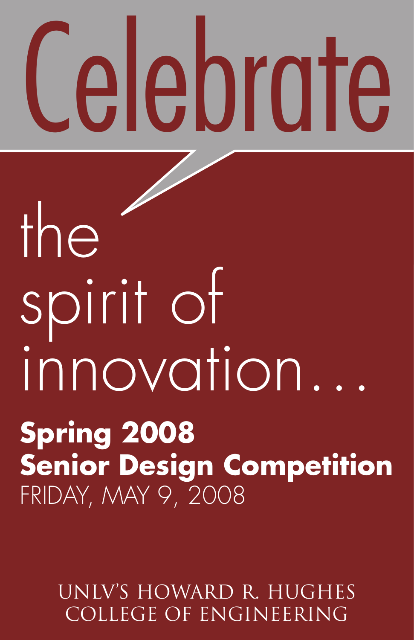# **Celebrate**

# the spirit of innovation… **Spring 2008 Senior Design Competition** FRIDAY, MAY 9, 2008

UNLV's Howard R. Hughes College of Engineering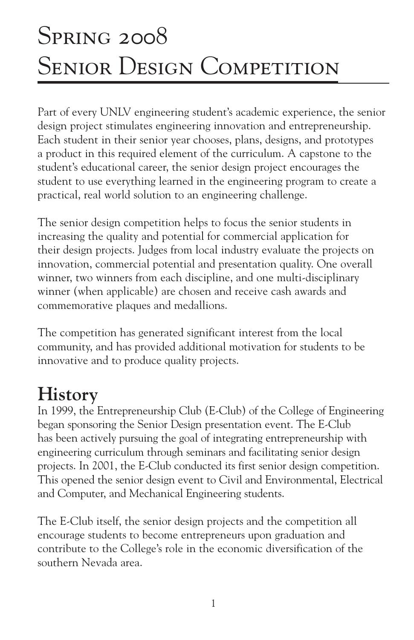#### Spring 2008  $T_{\text{Hilb}}$   $2000$ SENIOR DESIGN COMPETITION

Part of every UNLV engineering student's academic experience, the senior design project stimulates engineering innovation and entrepreneurship. Each student in their senior year chooses, plans, designs, and prototypes a product in this required element of the curriculum. A capstone to the student's educational career, the senior design project encourages the student to use everything learned in the engineering program to create a practical, real world solution to an engineering challenge.

The senior design competition helps to focus the senior students in increasing the quality and potential for commercial application for their design projects. Judges from local industry evaluate the projects on innovation, commercial potential and presentation quality. One overall winner, two winners from each discipline, and one multi-disciplinary winner (when applicable) are chosen and receive cash awards and commemorative plaques and medallions.

The competition has generated significant interest from the local community, and has provided additional motivation for students to be innovative and to produce quality projects.

# **History**

In 1999, the Entrepreneurship Club (E-Club) of the College of Engineering began sponsoring the Senior Design presentation event. The E-Club has been actively pursuing the goal of integrating entrepreneurship with engineering curriculum through seminars and facilitating senior design projects. In 2001, the E-Club conducted its first senior design competition. This opened the senior design event to Civil and Environmental, Electrical and Computer, and Mechanical Engineering students.

The E-Club itself, the senior design projects and the competition all encourage students to become entrepreneurs upon graduation and contribute to the College's role in the economic diversification of the southern Nevada area.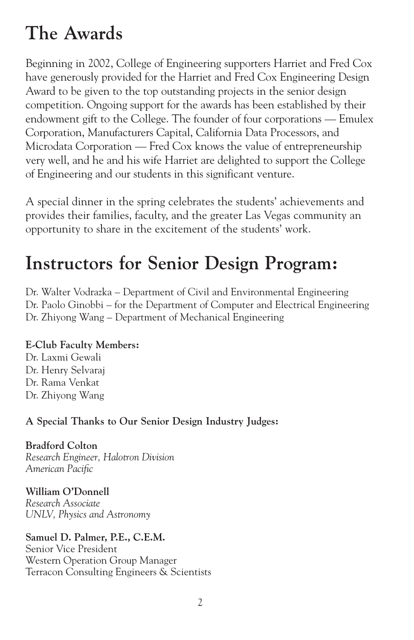## **The Awards**

Beginning in 2002, College of Engineering supporters Harriet and Fred Cox have generously provided for the Harriet and Fred Cox Engineering Design Award to be given to the top outstanding projects in the senior design competition. Ongoing support for the awards has been established by their endowment gift to the College. The founder of four corporations — Emulex Corporation, Manufacturers Capital, California Data Processors, and Microdata Corporation — Fred Cox knows the value of entrepreneurship very well, and he and his wife Harriet are delighted to support the College of Engineering and our students in this significant venture.

A special dinner in the spring celebrates the students' achievements and provides their families, faculty, and the greater Las Vegas community an opportunity to share in the excitement of the students' work.

## **Instructors for Senior Design Program:**

Dr. Walter Vodrazka – Department of Civil and Environmental Engineering Dr. Paolo Ginobbi – for the Department of Computer and Electrical Engineering Dr. Zhiyong Wang – Department of Mechanical Engineering

#### **E-Club Faculty Members:**

Dr. Laxmi Gewali Dr. Henry Selvaraj Dr. Rama Venkat Dr. Zhiyong Wang

#### **A Special Thanks to Our Senior Design Industry Judges:**

**Bradford Colton** *Research Engineer, Halotron Division American Pacific*

**William O'Donnell** *Research Associate UNLV, Physics and Astronomy*

**Samuel D. Palmer, P.E., C.E.M.** Senior Vice President Western Operation Group Manager Terracon Consulting Engineers & Scientists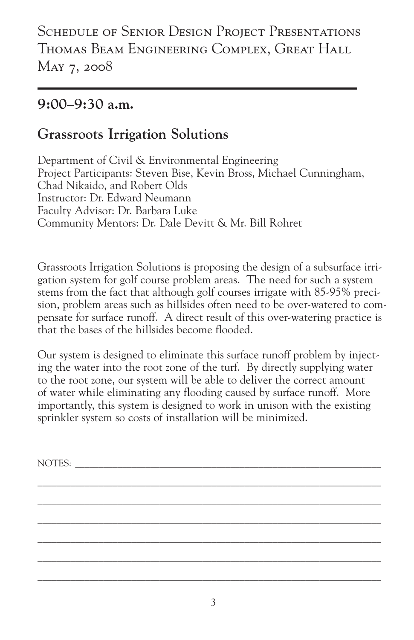#### **9:00–9:30 a.m.**

#### **Grassroots Irrigation Solutions**

Department of Civil & Environmental Engineering Project Participants: Steven Bise, Kevin Bross, Michael Cunningham, Chad Nikaido, and Robert Olds Instructor: Dr. Edward Neumann Faculty Advisor: Dr. Barbara Luke Community Mentors: Dr. Dale Devitt & Mr. Bill Rohret

Grassroots Irrigation Solutions is proposing the design of a subsurface irrigation system for golf course problem areas. The need for such a system stems from the fact that although golf courses irrigate with 85-95% precision, problem areas such as hillsides often need to be over-watered to compensate for surface runoff. A direct result of this over-watering practice is that the bases of the hillsides become flooded.

Our system is designed to eliminate this surface runoff problem by injecting the water into the root zone of the turf. By directly supplying water to the root zone, our system will be able to deliver the correct amount of water while eliminating any flooding caused by surface runoff. More importantly, this system is designed to work in unison with the existing sprinkler system so costs of installation will be minimized.

 $\mathcal{L}_\mathcal{L} = \{ \mathcal{L}_\mathcal{L} = \{ \mathcal{L}_\mathcal{L} = \{ \mathcal{L}_\mathcal{L} = \{ \mathcal{L}_\mathcal{L} = \{ \mathcal{L}_\mathcal{L} = \{ \mathcal{L}_\mathcal{L} = \{ \mathcal{L}_\mathcal{L} = \{ \mathcal{L}_\mathcal{L} = \{ \mathcal{L}_\mathcal{L} = \{ \mathcal{L}_\mathcal{L} = \{ \mathcal{L}_\mathcal{L} = \{ \mathcal{L}_\mathcal{L} = \{ \mathcal{L}_\mathcal{L} = \{ \mathcal{L}_\mathcal{$  $\mathcal{L}_\mathcal{L} = \{ \mathcal{L}_\mathcal{L} = \{ \mathcal{L}_\mathcal{L} = \{ \mathcal{L}_\mathcal{L} = \{ \mathcal{L}_\mathcal{L} = \{ \mathcal{L}_\mathcal{L} = \{ \mathcal{L}_\mathcal{L} = \{ \mathcal{L}_\mathcal{L} = \{ \mathcal{L}_\mathcal{L} = \{ \mathcal{L}_\mathcal{L} = \{ \mathcal{L}_\mathcal{L} = \{ \mathcal{L}_\mathcal{L} = \{ \mathcal{L}_\mathcal{L} = \{ \mathcal{L}_\mathcal{L} = \{ \mathcal{L}_\mathcal{$  $\mathcal{L}_\mathcal{L} = \{ \mathcal{L}_\mathcal{L} = \{ \mathcal{L}_\mathcal{L} = \{ \mathcal{L}_\mathcal{L} = \{ \mathcal{L}_\mathcal{L} = \{ \mathcal{L}_\mathcal{L} = \{ \mathcal{L}_\mathcal{L} = \{ \mathcal{L}_\mathcal{L} = \{ \mathcal{L}_\mathcal{L} = \{ \mathcal{L}_\mathcal{L} = \{ \mathcal{L}_\mathcal{L} = \{ \mathcal{L}_\mathcal{L} = \{ \mathcal{L}_\mathcal{L} = \{ \mathcal{L}_\mathcal{L} = \{ \mathcal{L}_\mathcal{$  $\mathcal{L}_\mathcal{L} = \{ \mathcal{L}_\mathcal{L} = \{ \mathcal{L}_\mathcal{L} = \{ \mathcal{L}_\mathcal{L} = \{ \mathcal{L}_\mathcal{L} = \{ \mathcal{L}_\mathcal{L} = \{ \mathcal{L}_\mathcal{L} = \{ \mathcal{L}_\mathcal{L} = \{ \mathcal{L}_\mathcal{L} = \{ \mathcal{L}_\mathcal{L} = \{ \mathcal{L}_\mathcal{L} = \{ \mathcal{L}_\mathcal{L} = \{ \mathcal{L}_\mathcal{L} = \{ \mathcal{L}_\mathcal{L} = \{ \mathcal{L}_\mathcal{$  $\mathcal{L}_\mathcal{L} = \{ \mathcal{L}_\mathcal{L} = \{ \mathcal{L}_\mathcal{L} = \{ \mathcal{L}_\mathcal{L} = \{ \mathcal{L}_\mathcal{L} = \{ \mathcal{L}_\mathcal{L} = \{ \mathcal{L}_\mathcal{L} = \{ \mathcal{L}_\mathcal{L} = \{ \mathcal{L}_\mathcal{L} = \{ \mathcal{L}_\mathcal{L} = \{ \mathcal{L}_\mathcal{L} = \{ \mathcal{L}_\mathcal{L} = \{ \mathcal{L}_\mathcal{L} = \{ \mathcal{L}_\mathcal{L} = \{ \mathcal{L}_\mathcal{$  $\mathcal{L}_\mathcal{L} = \{ \mathcal{L}_\mathcal{L} = \{ \mathcal{L}_\mathcal{L} = \{ \mathcal{L}_\mathcal{L} = \{ \mathcal{L}_\mathcal{L} = \{ \mathcal{L}_\mathcal{L} = \{ \mathcal{L}_\mathcal{L} = \{ \mathcal{L}_\mathcal{L} = \{ \mathcal{L}_\mathcal{L} = \{ \mathcal{L}_\mathcal{L} = \{ \mathcal{L}_\mathcal{L} = \{ \mathcal{L}_\mathcal{L} = \{ \mathcal{L}_\mathcal{L} = \{ \mathcal{L}_\mathcal{L} = \{ \mathcal{L}_\mathcal{$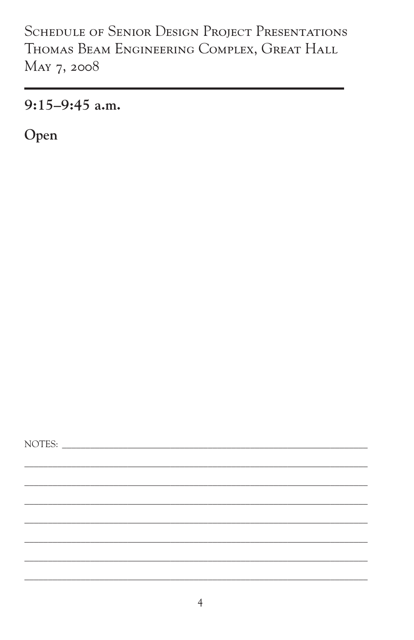$9:15-9:45$  a.m.

Open

NOTES: NOTES: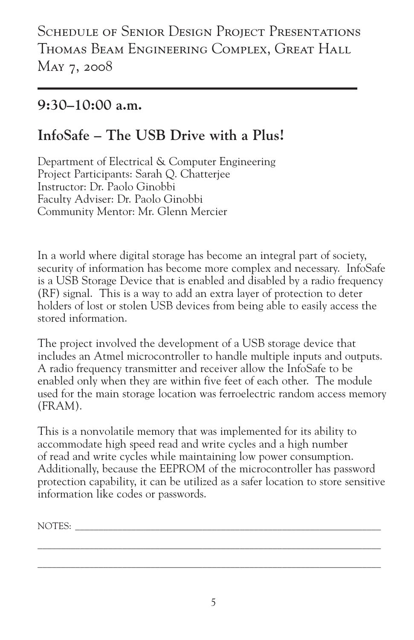#### **9:30–10:00 a.m.**

#### **InfoSafe – The USB Drive with a Plus!**

Department of Electrical & Computer Engineering Project Participants: Sarah Q. Chatterjee Instructor: Dr. Paolo Ginobbi Faculty Adviser: Dr. Paolo Ginobbi Community Mentor: Mr. Glenn Mercier

In a world where digital storage has become an integral part of society, security of information has become more complex and necessary. InfoSafe is a USB Storage Device that is enabled and disabled by a radio frequency (RF) signal. This is a way to add an extra layer of protection to deter holders of lost or stolen USB devices from being able to easily access the stored information.

The project involved the development of a USB storage device that includes an Atmel microcontroller to handle multiple inputs and outputs. A radio frequency transmitter and receiver allow the InfoSafe to be enabled only when they are within five feet of each other. The module used for the main storage location was ferroelectric random access memory (FRAM).

This is a nonvolatile memory that was implemented for its ability to accommodate high speed read and write cycles and a high number of read and write cycles while maintaining low power consumption. Additionally, because the EEPROM of the microcontroller has password protection capability, it can be utilized as a safer location to store sensitive information like codes or passwords.

NOTES: \_\_\_\_\_\_\_\_\_\_\_\_\_\_\_\_\_\_\_\_\_\_\_\_\_\_\_\_\_\_\_\_\_\_\_\_\_\_\_\_\_\_\_\_\_\_\_\_\_\_\_\_\_\_\_\_\_\_\_\_\_\_\_\_\_

 $\mathcal{L}_\mathcal{L} = \mathcal{L}_\mathcal{L} = \mathcal{L}_\mathcal{L} = \mathcal{L}_\mathcal{L} = \mathcal{L}_\mathcal{L} = \mathcal{L}_\mathcal{L} = \mathcal{L}_\mathcal{L} = \mathcal{L}_\mathcal{L} = \mathcal{L}_\mathcal{L} = \mathcal{L}_\mathcal{L} = \mathcal{L}_\mathcal{L} = \mathcal{L}_\mathcal{L} = \mathcal{L}_\mathcal{L} = \mathcal{L}_\mathcal{L} = \mathcal{L}_\mathcal{L} = \mathcal{L}_\mathcal{L} = \mathcal{L}_\mathcal{L}$  $\mathcal{L}_\mathcal{L} = \mathcal{L}_\mathcal{L} = \mathcal{L}_\mathcal{L} = \mathcal{L}_\mathcal{L} = \mathcal{L}_\mathcal{L} = \mathcal{L}_\mathcal{L} = \mathcal{L}_\mathcal{L} = \mathcal{L}_\mathcal{L} = \mathcal{L}_\mathcal{L} = \mathcal{L}_\mathcal{L} = \mathcal{L}_\mathcal{L} = \mathcal{L}_\mathcal{L} = \mathcal{L}_\mathcal{L} = \mathcal{L}_\mathcal{L} = \mathcal{L}_\mathcal{L} = \mathcal{L}_\mathcal{L} = \mathcal{L}_\mathcal{L}$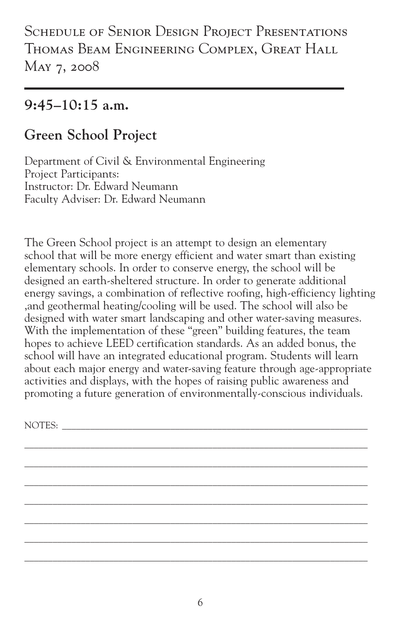#### **9:45–10:15 a.m.**

#### **Green School Project**

Department of Civil & Environmental Engineering Project Participants: Instructor: Dr. Edward Neumann Faculty Adviser: Dr. Edward Neumann

The Green School project is an attempt to design an elementary school that will be more energy efficient and water smart than existing elementary schools. In order to conserve energy, the school will be designed an earth-sheltered structure. In order to generate additional energy savings, a combination of reflective roofing, high-efficiency lighting ,and geothermal heating/cooling will be used. The school will also be designed with water smart landscaping and other water-saving measures. With the implementation of these "green" building features, the team hopes to achieve LEED certification standards. As an added bonus, the school will have an integrated educational program. Students will learn about each major energy and water-saving feature through age-appropriate activities and displays, with the hopes of raising public awareness and promoting a future generation of environmentally-conscious individuals.

\_\_\_\_\_\_\_\_\_\_\_\_\_\_\_\_\_\_\_\_\_\_\_\_\_\_\_\_\_\_\_\_\_\_\_\_\_\_\_\_\_\_\_\_\_\_\_\_\_\_\_\_\_\_\_\_\_\_\_\_\_\_\_\_\_\_\_\_\_\_\_\_\_ \_\_\_\_\_\_\_\_\_\_\_\_\_\_\_\_\_\_\_\_\_\_\_\_\_\_\_\_\_\_\_\_\_\_\_\_\_\_\_\_\_\_\_\_\_\_\_\_\_\_\_\_\_\_\_\_\_\_\_\_\_\_\_\_\_\_\_\_\_\_\_\_\_ \_\_\_\_\_\_\_\_\_\_\_\_\_\_\_\_\_\_\_\_\_\_\_\_\_\_\_\_\_\_\_\_\_\_\_\_\_\_\_\_\_\_\_\_\_\_\_\_\_\_\_\_\_\_\_\_\_\_\_\_\_\_\_\_\_\_\_\_\_\_\_\_\_ \_\_\_\_\_\_\_\_\_\_\_\_\_\_\_\_\_\_\_\_\_\_\_\_\_\_\_\_\_\_\_\_\_\_\_\_\_\_\_\_\_\_\_\_\_\_\_\_\_\_\_\_\_\_\_\_\_\_\_\_\_\_\_\_\_\_\_\_\_\_\_\_\_ \_\_\_\_\_\_\_\_\_\_\_\_\_\_\_\_\_\_\_\_\_\_\_\_\_\_\_\_\_\_\_\_\_\_\_\_\_\_\_\_\_\_\_\_\_\_\_\_\_\_\_\_\_\_\_\_\_\_\_\_\_\_\_\_\_\_\_\_\_\_\_\_\_ \_\_\_\_\_\_\_\_\_\_\_\_\_\_\_\_\_\_\_\_\_\_\_\_\_\_\_\_\_\_\_\_\_\_\_\_\_\_\_\_\_\_\_\_\_\_\_\_\_\_\_\_\_\_\_\_\_\_\_\_\_\_\_\_\_\_\_\_\_\_\_\_\_ \_\_\_\_\_\_\_\_\_\_\_\_\_\_\_\_\_\_\_\_\_\_\_\_\_\_\_\_\_\_\_\_\_\_\_\_\_\_\_\_\_\_\_\_\_\_\_\_\_\_\_\_\_\_\_\_\_\_\_\_\_\_\_\_\_\_\_\_\_\_\_\_\_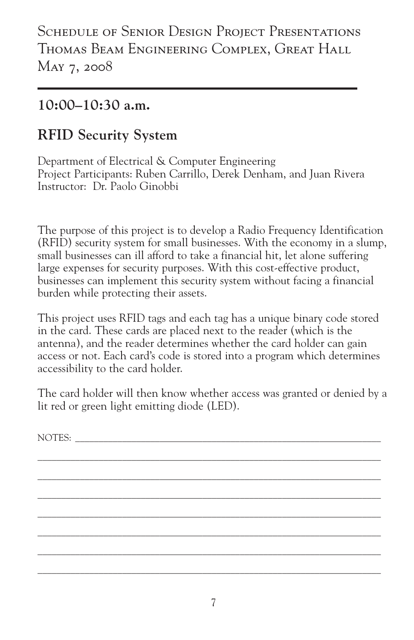#### **10:00–10:30 a.m.**

#### **RFID Security System**

Department of Electrical & Computer Engineering Project Participants: Ruben Carrillo, Derek Denham, and Juan Rivera Instructor: Dr. Paolo Ginobbi

The purpose of this project is to develop a Radio Frequency Identification (RFID) security system for small businesses. With the economy in a slump, small businesses can ill afford to take a financial hit, let alone suffering large expenses for security purposes. With this cost-effective product, businesses can implement this security system without facing a financial burden while protecting their assets.

This project uses RFID tags and each tag has a unique binary code stored in the card. These cards are placed next to the reader (which is the antenna), and the reader determines whether the card holder can gain access or not. Each card's code is stored into a program which determines accessibility to the card holder.

The card holder will then know whether access was granted or denied by a lit red or green light emitting diode (LED).

 $\mathcal{L}_\mathcal{L} = \{ \mathcal{L}_\mathcal{L} = \{ \mathcal{L}_\mathcal{L} = \{ \mathcal{L}_\mathcal{L} = \{ \mathcal{L}_\mathcal{L} = \{ \mathcal{L}_\mathcal{L} = \{ \mathcal{L}_\mathcal{L} = \{ \mathcal{L}_\mathcal{L} = \{ \mathcal{L}_\mathcal{L} = \{ \mathcal{L}_\mathcal{L} = \{ \mathcal{L}_\mathcal{L} = \{ \mathcal{L}_\mathcal{L} = \{ \mathcal{L}_\mathcal{L} = \{ \mathcal{L}_\mathcal{L} = \{ \mathcal{L}_\mathcal{$  $\mathcal{L}_\mathcal{L} = \{ \mathcal{L}_\mathcal{L} = \{ \mathcal{L}_\mathcal{L} = \{ \mathcal{L}_\mathcal{L} = \{ \mathcal{L}_\mathcal{L} = \{ \mathcal{L}_\mathcal{L} = \{ \mathcal{L}_\mathcal{L} = \{ \mathcal{L}_\mathcal{L} = \{ \mathcal{L}_\mathcal{L} = \{ \mathcal{L}_\mathcal{L} = \{ \mathcal{L}_\mathcal{L} = \{ \mathcal{L}_\mathcal{L} = \{ \mathcal{L}_\mathcal{L} = \{ \mathcal{L}_\mathcal{L} = \{ \mathcal{L}_\mathcal{$  $\mathcal{L}_\mathcal{L} = \{ \mathcal{L}_\mathcal{L} = \{ \mathcal{L}_\mathcal{L} = \{ \mathcal{L}_\mathcal{L} = \{ \mathcal{L}_\mathcal{L} = \{ \mathcal{L}_\mathcal{L} = \{ \mathcal{L}_\mathcal{L} = \{ \mathcal{L}_\mathcal{L} = \{ \mathcal{L}_\mathcal{L} = \{ \mathcal{L}_\mathcal{L} = \{ \mathcal{L}_\mathcal{L} = \{ \mathcal{L}_\mathcal{L} = \{ \mathcal{L}_\mathcal{L} = \{ \mathcal{L}_\mathcal{L} = \{ \mathcal{L}_\mathcal{$  $\mathcal{L}_\mathcal{L} = \{ \mathcal{L}_\mathcal{L} = \{ \mathcal{L}_\mathcal{L} = \{ \mathcal{L}_\mathcal{L} = \{ \mathcal{L}_\mathcal{L} = \{ \mathcal{L}_\mathcal{L} = \{ \mathcal{L}_\mathcal{L} = \{ \mathcal{L}_\mathcal{L} = \{ \mathcal{L}_\mathcal{L} = \{ \mathcal{L}_\mathcal{L} = \{ \mathcal{L}_\mathcal{L} = \{ \mathcal{L}_\mathcal{L} = \{ \mathcal{L}_\mathcal{L} = \{ \mathcal{L}_\mathcal{L} = \{ \mathcal{L}_\mathcal{$  $\mathcal{L}_\mathcal{L} = \{ \mathcal{L}_\mathcal{L} = \{ \mathcal{L}_\mathcal{L} = \{ \mathcal{L}_\mathcal{L} = \{ \mathcal{L}_\mathcal{L} = \{ \mathcal{L}_\mathcal{L} = \{ \mathcal{L}_\mathcal{L} = \{ \mathcal{L}_\mathcal{L} = \{ \mathcal{L}_\mathcal{L} = \{ \mathcal{L}_\mathcal{L} = \{ \mathcal{L}_\mathcal{L} = \{ \mathcal{L}_\mathcal{L} = \{ \mathcal{L}_\mathcal{L} = \{ \mathcal{L}_\mathcal{L} = \{ \mathcal{L}_\mathcal{$  $\mathcal{L}_\mathcal{L} = \{ \mathcal{L}_\mathcal{L} = \{ \mathcal{L}_\mathcal{L} = \{ \mathcal{L}_\mathcal{L} = \{ \mathcal{L}_\mathcal{L} = \{ \mathcal{L}_\mathcal{L} = \{ \mathcal{L}_\mathcal{L} = \{ \mathcal{L}_\mathcal{L} = \{ \mathcal{L}_\mathcal{L} = \{ \mathcal{L}_\mathcal{L} = \{ \mathcal{L}_\mathcal{L} = \{ \mathcal{L}_\mathcal{L} = \{ \mathcal{L}_\mathcal{L} = \{ \mathcal{L}_\mathcal{L} = \{ \mathcal{L}_\mathcal{$  $\mathcal{L}_\mathcal{L} = \{ \mathcal{L}_\mathcal{L} = \{ \mathcal{L}_\mathcal{L} = \{ \mathcal{L}_\mathcal{L} = \{ \mathcal{L}_\mathcal{L} = \{ \mathcal{L}_\mathcal{L} = \{ \mathcal{L}_\mathcal{L} = \{ \mathcal{L}_\mathcal{L} = \{ \mathcal{L}_\mathcal{L} = \{ \mathcal{L}_\mathcal{L} = \{ \mathcal{L}_\mathcal{L} = \{ \mathcal{L}_\mathcal{L} = \{ \mathcal{L}_\mathcal{L} = \{ \mathcal{L}_\mathcal{L} = \{ \mathcal{L}_\mathcal{$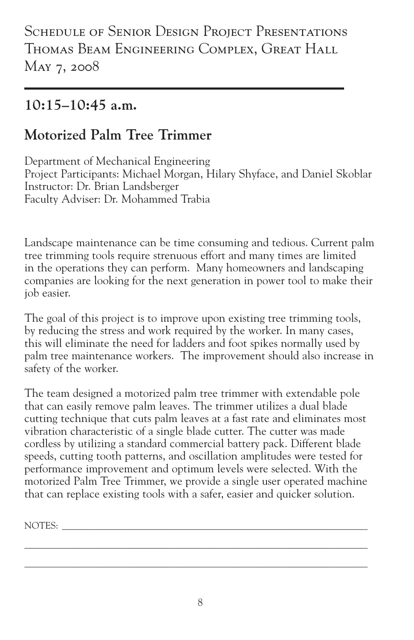#### **10:15–10:45 a.m.**

#### **Motorized Palm Tree Trimmer**

Department of Mechanical Engineering Project Participants: Michael Morgan, Hilary Shyface, and Daniel Skoblar Instructor: Dr. Brian Landsberger Faculty Adviser: Dr. Mohammed Trabia

Landscape maintenance can be time consuming and tedious. Current palm tree trimming tools require strenuous effort and many times are limited in the operations they can perform. Many homeowners and landscaping companies are looking for the next generation in power tool to make their job easier.

The goal of this project is to improve upon existing tree trimming tools, by reducing the stress and work required by the worker. In many cases, this will eliminate the need for ladders and foot spikes normally used by palm tree maintenance workers. The improvement should also increase in safety of the worker.

The team designed a motorized palm tree trimmer with extendable pole that can easily remove palm leaves. The trimmer utilizes a dual blade cutting technique that cuts palm leaves at a fast rate and eliminates most vibration characteristic of a single blade cutter. The cutter was made cordless by utilizing a standard commercial battery pack. Different blade speeds, cutting tooth patterns, and oscillation amplitudes were tested for performance improvement and optimum levels were selected. With the motorized Palm Tree Trimmer, we provide a single user operated machine that can replace existing tools with a safer, easier and quicker solution.

NOTES: \_\_\_\_\_\_\_\_\_\_\_\_\_\_\_\_\_\_\_\_\_\_\_\_\_\_\_\_\_\_\_\_\_\_\_\_\_\_\_\_\_\_\_\_\_\_\_\_\_\_\_\_\_\_\_\_\_\_\_\_\_\_\_\_\_

\_\_\_\_\_\_\_\_\_\_\_\_\_\_\_\_\_\_\_\_\_\_\_\_\_\_\_\_\_\_\_\_\_\_\_\_\_\_\_\_\_\_\_\_\_\_\_\_\_\_\_\_\_\_\_\_\_\_\_\_\_\_\_\_\_\_\_\_\_\_\_\_\_ \_\_\_\_\_\_\_\_\_\_\_\_\_\_\_\_\_\_\_\_\_\_\_\_\_\_\_\_\_\_\_\_\_\_\_\_\_\_\_\_\_\_\_\_\_\_\_\_\_\_\_\_\_\_\_\_\_\_\_\_\_\_\_\_\_\_\_\_\_\_\_\_\_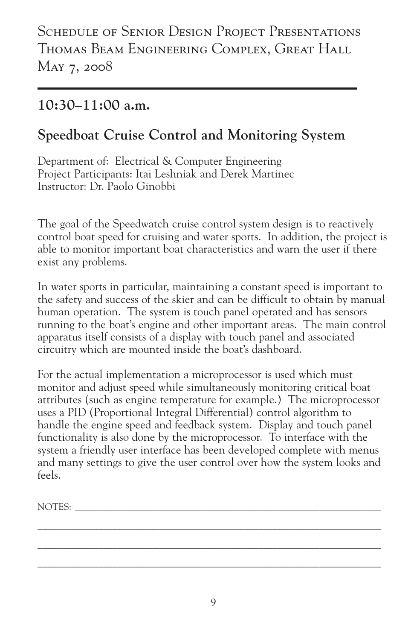#### **10:30–11:00 a.m.**

#### **Speedboat Cruise Control and Monitoring System**

Department of: Electrical & Computer Engineering Project Participants: Itai Leshniak and Derek Martinec Instructor: Dr. Paolo Ginobbi

The goal of the Speedwatch cruise control system design is to reactively control boat speed for cruising and water sports. In addition, the project is able to monitor important boat characteristics and warn the user if there exist any problems.

In water sports in particular, maintaining a constant speed is important to the safety and success of the skier and can be difficult to obtain by manual human operation. The system is touch panel operated and has sensors running to the boat's engine and other important areas. The main control apparatus itself consists of a display with touch panel and associated circuitry which are mounted inside the boat's dashboard.

For the actual implementation a microprocessor is used which must monitor and adjust speed while simultaneously monitoring critical boat attributes (such as engine temperature for example.) The microprocessor uses a PID (Proportional Integral Differential) control algorithm to handle the engine speed and feedback system. Display and touch panel functionality is also done by the microprocessor. To interface with the system a friendly user interface has been developed complete with menus and many settings to give the user control over how the system looks and feels.

NOTES: \_\_\_\_\_\_\_\_\_\_\_\_\_\_\_\_\_\_\_\_\_\_\_\_\_\_\_\_\_\_\_\_\_\_\_\_\_\_\_\_\_\_\_\_\_\_\_\_\_\_\_\_\_\_\_\_\_\_\_\_\_\_\_\_\_

 $\mathcal{L}_\mathcal{L} = \{ \mathcal{L}_\mathcal{L} = \{ \mathcal{L}_\mathcal{L} = \{ \mathcal{L}_\mathcal{L} = \{ \mathcal{L}_\mathcal{L} = \{ \mathcal{L}_\mathcal{L} = \{ \mathcal{L}_\mathcal{L} = \{ \mathcal{L}_\mathcal{L} = \{ \mathcal{L}_\mathcal{L} = \{ \mathcal{L}_\mathcal{L} = \{ \mathcal{L}_\mathcal{L} = \{ \mathcal{L}_\mathcal{L} = \{ \mathcal{L}_\mathcal{L} = \{ \mathcal{L}_\mathcal{L} = \{ \mathcal{L}_\mathcal{$  $\mathcal{L}_\mathcal{L} = \{ \mathcal{L}_\mathcal{L} = \{ \mathcal{L}_\mathcal{L} = \{ \mathcal{L}_\mathcal{L} = \{ \mathcal{L}_\mathcal{L} = \{ \mathcal{L}_\mathcal{L} = \{ \mathcal{L}_\mathcal{L} = \{ \mathcal{L}_\mathcal{L} = \{ \mathcal{L}_\mathcal{L} = \{ \mathcal{L}_\mathcal{L} = \{ \mathcal{L}_\mathcal{L} = \{ \mathcal{L}_\mathcal{L} = \{ \mathcal{L}_\mathcal{L} = \{ \mathcal{L}_\mathcal{L} = \{ \mathcal{L}_\mathcal{$  $\mathcal{L}_\mathcal{L} = \{ \mathcal{L}_\mathcal{L} = \{ \mathcal{L}_\mathcal{L} = \{ \mathcal{L}_\mathcal{L} = \{ \mathcal{L}_\mathcal{L} = \{ \mathcal{L}_\mathcal{L} = \{ \mathcal{L}_\mathcal{L} = \{ \mathcal{L}_\mathcal{L} = \{ \mathcal{L}_\mathcal{L} = \{ \mathcal{L}_\mathcal{L} = \{ \mathcal{L}_\mathcal{L} = \{ \mathcal{L}_\mathcal{L} = \{ \mathcal{L}_\mathcal{L} = \{ \mathcal{L}_\mathcal{L} = \{ \mathcal{L}_\mathcal{$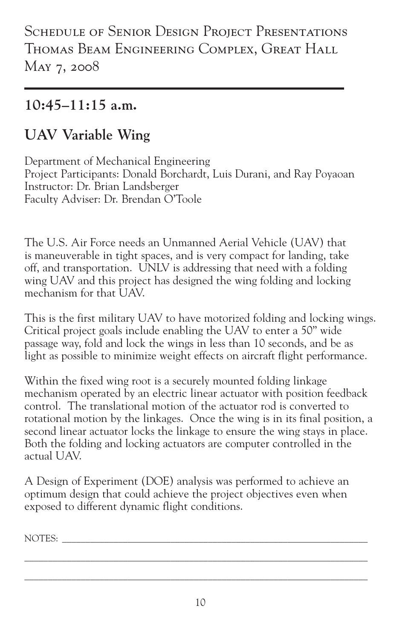SCHEDULE OF SENIOR DESIGN PROJECT PRESENTATIONS Thomas Beam Engineering Complex, Great Hall May 7, 2008

#### **10:45–11:15 a.m.**

#### **UAV Variable Wing**

Department of Mechanical Engineering Project Participants: Donald Borchardt, Luis Durani, and Ray Poyaoan Instructor: Dr. Brian Landsberger Faculty Adviser: Dr. Brendan O'Toole

The U.S. Air Force needs an Unmanned Aerial Vehicle (UAV) that is maneuverable in tight spaces, and is very compact for landing, take off, and transportation. UNLV is addressing that need with a folding wing UAV and this project has designed the wing folding and locking mechanism for that  $\overline{I} I \overline{A} V$ .

This is the first military UAV to have motorized folding and locking wings. Critical project goals include enabling the UAV to enter a 50" wide passage way, fold and lock the wings in less than 10 seconds, and be as light as possible to minimize weight effects on aircraft flight performance.

Within the fixed wing root is a securely mounted folding linkage mechanism operated by an electric linear actuator with position feedback control. The translational motion of the actuator rod is converted to rotational motion by the linkages. Once the wing is in its final position, a second linear actuator locks the linkage to ensure the wing stays in place. Both the folding and locking actuators are computer controlled in the actual UAV.

A Design of Experiment (DOE) analysis was performed to achieve an optimum design that could achieve the project objectives even when exposed to different dynamic flight conditions.

NOTES: \_\_\_\_\_\_\_\_\_\_\_\_\_\_\_\_\_\_\_\_\_\_\_\_\_\_\_\_\_\_\_\_\_\_\_\_\_\_\_\_\_\_\_\_\_\_\_\_\_\_\_\_\_\_\_\_\_\_\_\_\_\_\_\_\_

\_\_\_\_\_\_\_\_\_\_\_\_\_\_\_\_\_\_\_\_\_\_\_\_\_\_\_\_\_\_\_\_\_\_\_\_\_\_\_\_\_\_\_\_\_\_\_\_\_\_\_\_\_\_\_\_\_\_\_\_\_\_\_\_\_\_\_\_\_\_\_\_\_ \_\_\_\_\_\_\_\_\_\_\_\_\_\_\_\_\_\_\_\_\_\_\_\_\_\_\_\_\_\_\_\_\_\_\_\_\_\_\_\_\_\_\_\_\_\_\_\_\_\_\_\_\_\_\_\_\_\_\_\_\_\_\_\_\_\_\_\_\_\_\_\_\_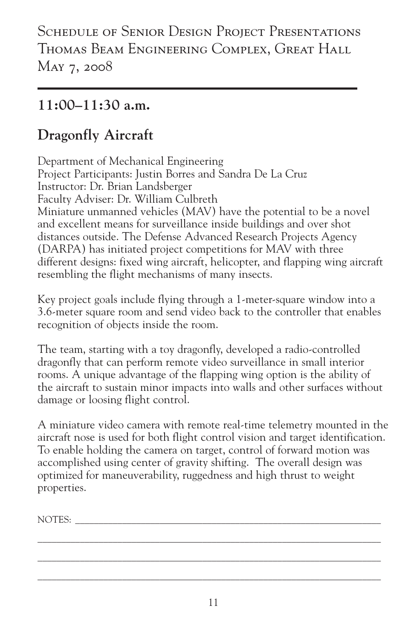#### **11:00–11:30 a.m.**

#### **Dragonfly Aircraft**

Department of Mechanical Engineering Project Participants: Justin Borres and Sandra De La Cruz Instructor: Dr. Brian Landsberger Faculty Adviser: Dr. William Culbreth Miniature unmanned vehicles (MAV) have the potential to be a novel and excellent means for surveillance inside buildings and over shot distances outside. The Defense Advanced Research Projects Agency (DARPA) has initiated project competitions for MAV with three different designs: fixed wing aircraft, helicopter, and flapping wing aircraft resembling the flight mechanisms of many insects.

Key project goals include flying through a 1-meter-square window into a 3.6-meter square room and send video back to the controller that enables recognition of objects inside the room.

The team, starting with a toy dragonfly, developed a radio-controlled dragonfly that can perform remote video surveillance in small interior rooms. A unique advantage of the flapping wing option is the ability of the aircraft to sustain minor impacts into walls and other surfaces without damage or loosing flight control.

A miniature video camera with remote real-time telemetry mounted in the aircraft nose is used for both flight control vision and target identification. To enable holding the camera on target, control of forward motion was accomplished using center of gravity shifting. The overall design was optimized for maneuverability, ruggedness and high thrust to weight properties.

NOTES:

 $\mathcal{L}_\mathcal{L} = \{ \mathcal{L}_\mathcal{L} = \{ \mathcal{L}_\mathcal{L} = \{ \mathcal{L}_\mathcal{L} = \{ \mathcal{L}_\mathcal{L} = \{ \mathcal{L}_\mathcal{L} = \{ \mathcal{L}_\mathcal{L} = \{ \mathcal{L}_\mathcal{L} = \{ \mathcal{L}_\mathcal{L} = \{ \mathcal{L}_\mathcal{L} = \{ \mathcal{L}_\mathcal{L} = \{ \mathcal{L}_\mathcal{L} = \{ \mathcal{L}_\mathcal{L} = \{ \mathcal{L}_\mathcal{L} = \{ \mathcal{L}_\mathcal{$  $\mathcal{L}_\mathcal{L} = \{ \mathcal{L}_\mathcal{L} = \{ \mathcal{L}_\mathcal{L} = \{ \mathcal{L}_\mathcal{L} = \{ \mathcal{L}_\mathcal{L} = \{ \mathcal{L}_\mathcal{L} = \{ \mathcal{L}_\mathcal{L} = \{ \mathcal{L}_\mathcal{L} = \{ \mathcal{L}_\mathcal{L} = \{ \mathcal{L}_\mathcal{L} = \{ \mathcal{L}_\mathcal{L} = \{ \mathcal{L}_\mathcal{L} = \{ \mathcal{L}_\mathcal{L} = \{ \mathcal{L}_\mathcal{L} = \{ \mathcal{L}_\mathcal{$  $\mathcal{L}_\mathcal{L} = \{ \mathcal{L}_\mathcal{L} = \{ \mathcal{L}_\mathcal{L} = \{ \mathcal{L}_\mathcal{L} = \{ \mathcal{L}_\mathcal{L} = \{ \mathcal{L}_\mathcal{L} = \{ \mathcal{L}_\mathcal{L} = \{ \mathcal{L}_\mathcal{L} = \{ \mathcal{L}_\mathcal{L} = \{ \mathcal{L}_\mathcal{L} = \{ \mathcal{L}_\mathcal{L} = \{ \mathcal{L}_\mathcal{L} = \{ \mathcal{L}_\mathcal{L} = \{ \mathcal{L}_\mathcal{L} = \{ \mathcal{L}_\mathcal{$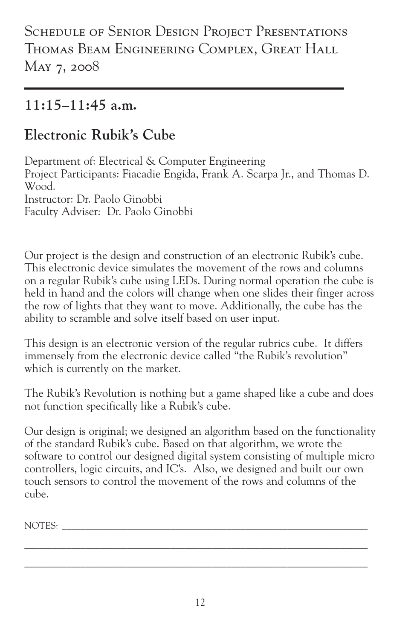SCHEDULE OF SENIOR DESIGN PROJECT PRESENTATIONS Thomas Beam Engineering Complex, Great Hall May 7, 2008

#### **11:15–11:45 a.m.**

#### **Electronic Rubik's Cube**

Department of: Electrical & Computer Engineering Project Participants: Fiacadie Engida, Frank A. Scarpa Jr., and Thomas D. Wood. Instructor: Dr. Paolo Ginobbi Faculty Adviser: Dr. Paolo Ginobbi

Our project is the design and construction of an electronic Rubik's cube. This electronic device simulates the movement of the rows and columns on a regular Rubik's cube using LEDs. During normal operation the cube is held in hand and the colors will change when one slides their finger across the row of lights that they want to move. Additionally, the cube has the ability to scramble and solve itself based on user input.

This design is an electronic version of the regular rubrics cube. It differs immensely from the electronic device called "the Rubik's revolution" which is currently on the market.

The Rubik's Revolution is nothing but a game shaped like a cube and does not function specifically like a Rubik's cube.

Our design is original; we designed an algorithm based on the functionality of the standard Rubik's cube. Based on that algorithm, we wrote the software to control our designed digital system consisting of multiple micro controllers, logic circuits, and IC's. Also, we designed and built our own touch sensors to control the movement of the rows and columns of the cube.

NOTES:

\_\_\_\_\_\_\_\_\_\_\_\_\_\_\_\_\_\_\_\_\_\_\_\_\_\_\_\_\_\_\_\_\_\_\_\_\_\_\_\_\_\_\_\_\_\_\_\_\_\_\_\_\_\_\_\_\_\_\_\_\_\_\_\_\_\_\_\_\_\_\_\_\_ \_\_\_\_\_\_\_\_\_\_\_\_\_\_\_\_\_\_\_\_\_\_\_\_\_\_\_\_\_\_\_\_\_\_\_\_\_\_\_\_\_\_\_\_\_\_\_\_\_\_\_\_\_\_\_\_\_\_\_\_\_\_\_\_\_\_\_\_\_\_\_\_\_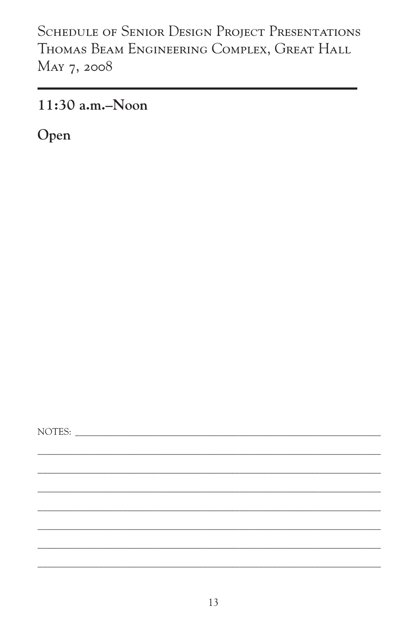$11:30$  a.m.-Noon

Open

NOTES: NOTES: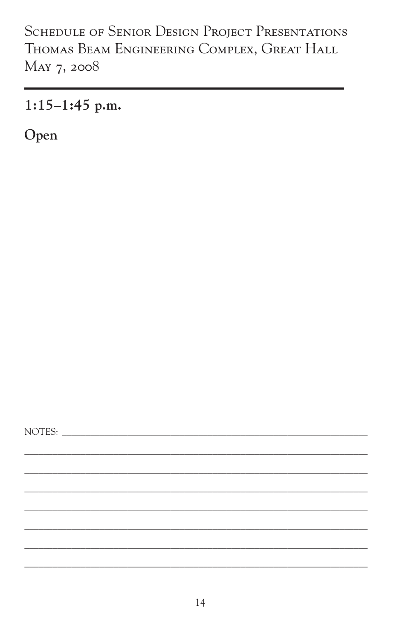$1:15-1:45$  p.m.

Open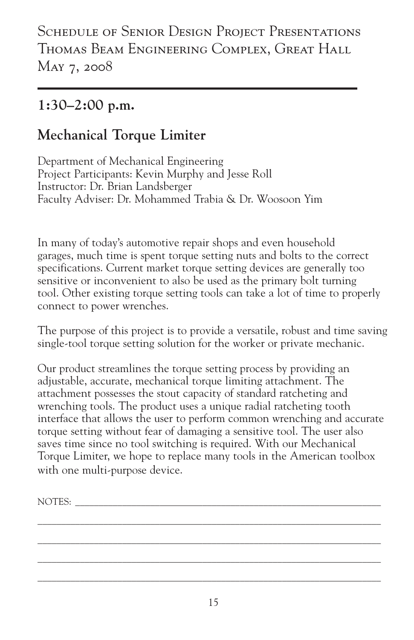#### **1:30–2:00 p.m.**

#### **Mechanical Torque Limiter**

Department of Mechanical Engineering Project Participants: Kevin Murphy and Jesse Roll Instructor: Dr. Brian Landsberger Faculty Adviser: Dr. Mohammed Trabia & Dr. Woosoon Yim

In many of today's automotive repair shops and even household garages, much time is spent torque setting nuts and bolts to the correct specifications. Current market torque setting devices are generally too sensitive or inconvenient to also be used as the primary bolt turning tool. Other existing torque setting tools can take a lot of time to properly connect to power wrenches.

The purpose of this project is to provide a versatile, robust and time saving single-tool torque setting solution for the worker or private mechanic.

Our product streamlines the torque setting process by providing an adjustable, accurate, mechanical torque limiting attachment. The attachment possesses the stout capacity of standard ratcheting and wrenching tools. The product uses a unique radial ratcheting tooth interface that allows the user to perform common wrenching and accurate torque setting without fear of damaging a sensitive tool. The user also saves time since no tool switching is required. With our Mechanical Torque Limiter, we hope to replace many tools in the American toolbox with one multi-purpose device.

NOTES: \_\_\_\_\_\_\_\_\_\_\_\_\_\_\_\_\_\_\_\_\_\_\_\_\_\_\_\_\_\_\_\_\_\_\_\_\_\_\_\_\_\_\_\_\_\_\_\_\_\_\_\_\_\_\_\_\_\_\_\_\_\_\_\_\_

 $\mathcal{L}_\mathcal{L} = \{ \mathcal{L}_\mathcal{L} = \{ \mathcal{L}_\mathcal{L} = \{ \mathcal{L}_\mathcal{L} = \{ \mathcal{L}_\mathcal{L} = \{ \mathcal{L}_\mathcal{L} = \{ \mathcal{L}_\mathcal{L} = \{ \mathcal{L}_\mathcal{L} = \{ \mathcal{L}_\mathcal{L} = \{ \mathcal{L}_\mathcal{L} = \{ \mathcal{L}_\mathcal{L} = \{ \mathcal{L}_\mathcal{L} = \{ \mathcal{L}_\mathcal{L} = \{ \mathcal{L}_\mathcal{L} = \{ \mathcal{L}_\mathcal{$  $\mathcal{L}_\mathcal{L} = \{ \mathcal{L}_\mathcal{L} = \{ \mathcal{L}_\mathcal{L} = \{ \mathcal{L}_\mathcal{L} = \{ \mathcal{L}_\mathcal{L} = \{ \mathcal{L}_\mathcal{L} = \{ \mathcal{L}_\mathcal{L} = \{ \mathcal{L}_\mathcal{L} = \{ \mathcal{L}_\mathcal{L} = \{ \mathcal{L}_\mathcal{L} = \{ \mathcal{L}_\mathcal{L} = \{ \mathcal{L}_\mathcal{L} = \{ \mathcal{L}_\mathcal{L} = \{ \mathcal{L}_\mathcal{L} = \{ \mathcal{L}_\mathcal{$  $\mathcal{L}_\mathcal{L} = \{ \mathcal{L}_\mathcal{L} = \{ \mathcal{L}_\mathcal{L} = \{ \mathcal{L}_\mathcal{L} = \{ \mathcal{L}_\mathcal{L} = \{ \mathcal{L}_\mathcal{L} = \{ \mathcal{L}_\mathcal{L} = \{ \mathcal{L}_\mathcal{L} = \{ \mathcal{L}_\mathcal{L} = \{ \mathcal{L}_\mathcal{L} = \{ \mathcal{L}_\mathcal{L} = \{ \mathcal{L}_\mathcal{L} = \{ \mathcal{L}_\mathcal{L} = \{ \mathcal{L}_\mathcal{L} = \{ \mathcal{L}_\mathcal{$  $\mathcal{L}_\mathcal{L} = \{ \mathcal{L}_\mathcal{L} = \{ \mathcal{L}_\mathcal{L} = \{ \mathcal{L}_\mathcal{L} = \{ \mathcal{L}_\mathcal{L} = \{ \mathcal{L}_\mathcal{L} = \{ \mathcal{L}_\mathcal{L} = \{ \mathcal{L}_\mathcal{L} = \{ \mathcal{L}_\mathcal{L} = \{ \mathcal{L}_\mathcal{L} = \{ \mathcal{L}_\mathcal{L} = \{ \mathcal{L}_\mathcal{L} = \{ \mathcal{L}_\mathcal{L} = \{ \mathcal{L}_\mathcal{L} = \{ \mathcal{L}_\mathcal{$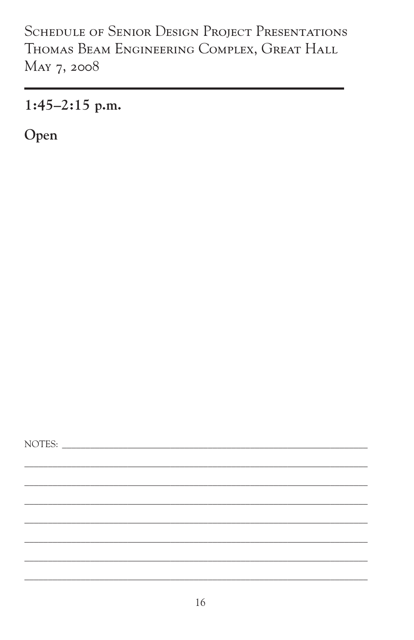$1:45-2:15$  p.m.

Open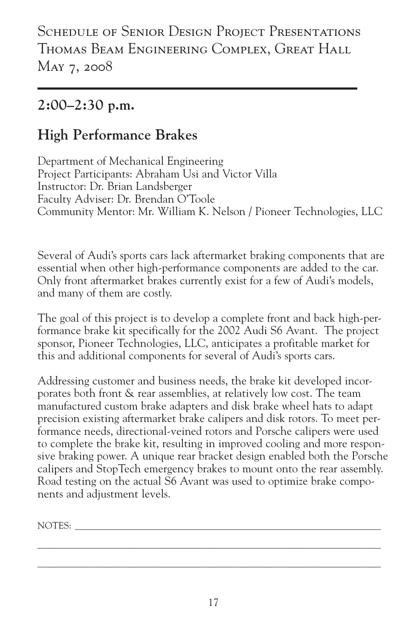#### **2:00–2:30 p.m.**

#### **High Performance Brakes**

Department of Mechanical Engineering Project Participants: Abraham Usi and Victor Villa Instructor: Dr. Brian Landsberger Faculty Adviser: Dr. Brendan O'Toole Community Mentor: Mr. William K. Nelson / Pioneer Technologies, LLC

Several of Audi's sports cars lack aftermarket braking components that are essential when other high-performance components are added to the car. Only front aftermarket brakes currently exist for a few of Audi's models, and many of them are costly.

The goal of this project is to develop a complete front and back high-performance brake kit specifically for the 2002 Audi S6 Avant. The project sponsor, Pioneer Technologies, LLC, anticipates a profitable market for this and additional components for several of Audi's sports cars.

Addressing customer and business needs, the brake kit developed incorporates both front & rear assemblies, at relatively low cost. The team manufactured custom brake adapters and disk brake wheel hats to adapt precision existing aftermarket brake calipers and disk rotors. To meet performance needs, directional-veined rotors and Porsche calipers were used to complete the brake kit, resulting in improved cooling and more responsive braking power. A unique rear bracket design enabled both the Porsche calipers and StopTech emergency brakes to mount onto the rear assembly. Road testing on the actual S6 Avant was used to optimize brake components and adjustment levels.

NOTES: \_\_\_\_\_\_\_\_\_\_\_\_\_\_\_\_\_\_\_\_\_\_\_\_\_\_\_\_\_\_\_\_\_\_\_\_\_\_\_\_\_\_\_\_\_\_\_\_\_\_\_\_\_\_\_\_\_\_\_\_\_\_\_\_\_

 $\mathcal{L}_\mathcal{L} = \{ \mathcal{L}_\mathcal{L} = \{ \mathcal{L}_\mathcal{L} = \{ \mathcal{L}_\mathcal{L} = \{ \mathcal{L}_\mathcal{L} = \{ \mathcal{L}_\mathcal{L} = \{ \mathcal{L}_\mathcal{L} = \{ \mathcal{L}_\mathcal{L} = \{ \mathcal{L}_\mathcal{L} = \{ \mathcal{L}_\mathcal{L} = \{ \mathcal{L}_\mathcal{L} = \{ \mathcal{L}_\mathcal{L} = \{ \mathcal{L}_\mathcal{L} = \{ \mathcal{L}_\mathcal{L} = \{ \mathcal{L}_\mathcal{$  $\mathcal{L}_\mathcal{L} = \{ \mathcal{L}_\mathcal{L} = \{ \mathcal{L}_\mathcal{L} = \{ \mathcal{L}_\mathcal{L} = \{ \mathcal{L}_\mathcal{L} = \{ \mathcal{L}_\mathcal{L} = \{ \mathcal{L}_\mathcal{L} = \{ \mathcal{L}_\mathcal{L} = \{ \mathcal{L}_\mathcal{L} = \{ \mathcal{L}_\mathcal{L} = \{ \mathcal{L}_\mathcal{L} = \{ \mathcal{L}_\mathcal{L} = \{ \mathcal{L}_\mathcal{L} = \{ \mathcal{L}_\mathcal{L} = \{ \mathcal{L}_\mathcal{$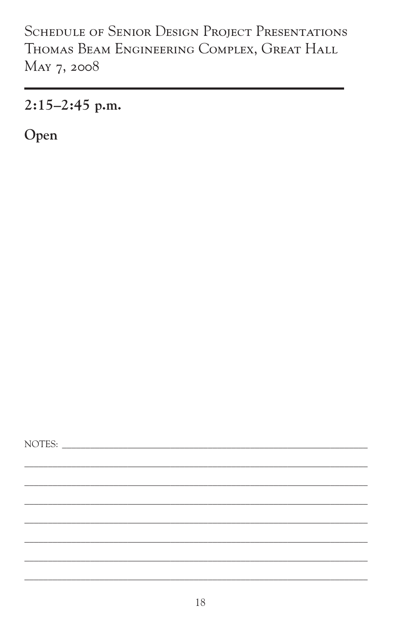$2:15-2:45$  p.m.

Open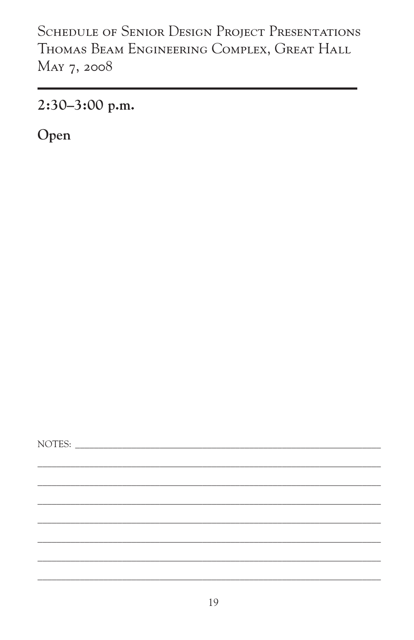2:30-3:00 p.m.

Open

NOTES: NOTES: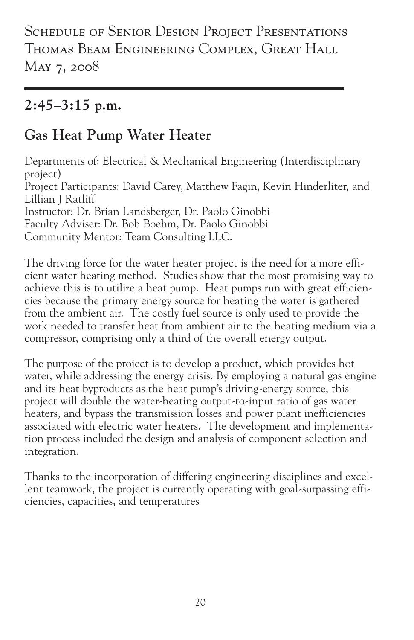SCHEDULE OF SENIOR DESIGN PROJECT PRESENTATIONS Thomas Beam Engineering Complex, Great Hall May 7, 2008

#### **2:45–3:15 p.m.**

#### **Gas Heat Pump Water Heater**

Departments of: Electrical & Mechanical Engineering (Interdisciplinary project) Project Participants: David Carey, Matthew Fagin, Kevin Hinderliter, and Lillian J Ratliff Instructor: Dr. Brian Landsberger, Dr. Paolo Ginobbi Faculty Adviser: Dr. Bob Boehm, Dr. Paolo Ginobbi Community Mentor: Team Consulting LLC.

The driving force for the water heater project is the need for a more efficient water heating method. Studies show that the most promising way to achieve this is to utilize a heat pump. Heat pumps run with great efficiencies because the primary energy source for heating the water is gathered from the ambient air. The costly fuel source is only used to provide the work needed to transfer heat from ambient air to the heating medium via a compressor, comprising only a third of the overall energy output.

The purpose of the project is to develop a product, which provides hot water, while addressing the energy crisis. By employing a natural gas engine and its heat byproducts as the heat pump's driving-energy source, this project will double the water-heating output-to-input ratio of gas water heaters, and bypass the transmission losses and power plant inefficiencies associated with electric water heaters. The development and implementation process included the design and analysis of component selection and integration.

Thanks to the incorporation of differing engineering disciplines and excellent teamwork, the project is currently operating with goal-surpassing efficiencies, capacities, and temperatures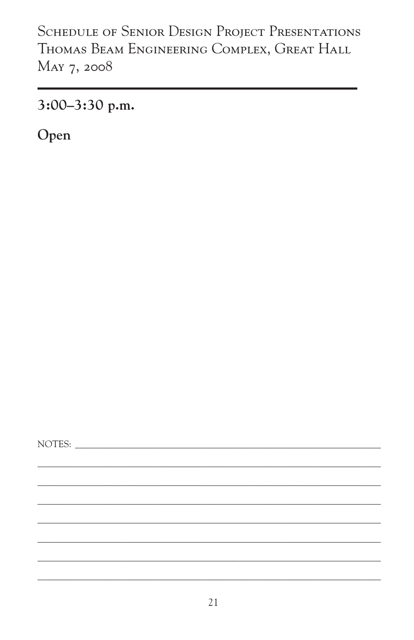3:00-3:30 p.m.

Open

NOTES: NOTES: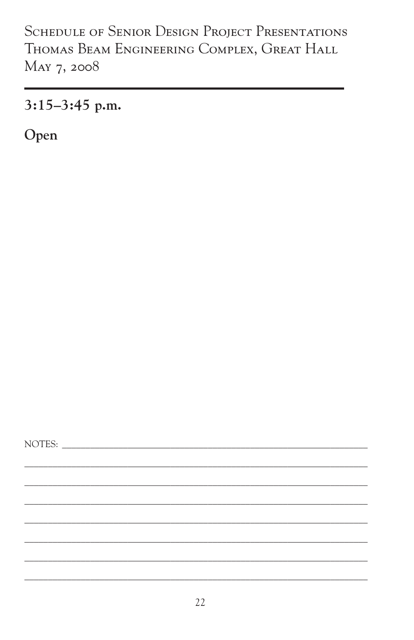$3:15-3:45$  p.m.

Open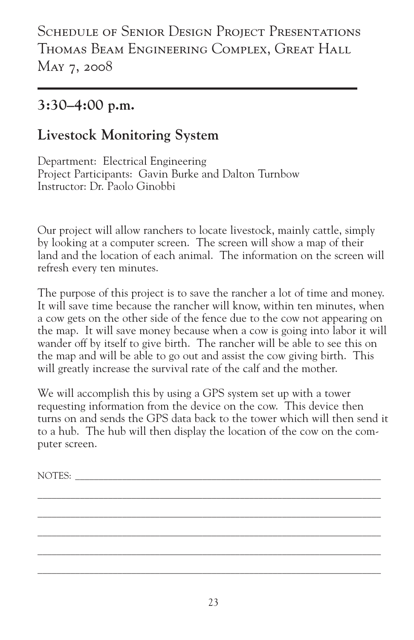#### **3:30–4:00 p.m.**

#### **Livestock Monitoring System**

Department: Electrical Engineering Project Participants: Gavin Burke and Dalton Turnbow Instructor: Dr. Paolo Ginobbi

Our project will allow ranchers to locate livestock, mainly cattle, simply by looking at a computer screen. The screen will show a map of their land and the location of each animal. The information on the screen will refresh every ten minutes.

The purpose of this project is to save the rancher a lot of time and money. It will save time because the rancher will know, within ten minutes, when a cow gets on the other side of the fence due to the cow not appearing on the map. It will save money because when a cow is going into labor it will wander off by itself to give birth. The rancher will be able to see this on the map and will be able to go out and assist the cow giving birth. This will greatly increase the survival rate of the calf and the mother.

We will accomplish this by using a GPS system set up with a tower requesting information from the device on the cow. This device then turns on and sends the GPS data back to the tower which will then send it to a hub. The hub will then display the location of the cow on the computer screen.

 $\mathcal{L}_\mathcal{L} = \{ \mathcal{L}_\mathcal{L} = \{ \mathcal{L}_\mathcal{L} = \{ \mathcal{L}_\mathcal{L} = \{ \mathcal{L}_\mathcal{L} = \{ \mathcal{L}_\mathcal{L} = \{ \mathcal{L}_\mathcal{L} = \{ \mathcal{L}_\mathcal{L} = \{ \mathcal{L}_\mathcal{L} = \{ \mathcal{L}_\mathcal{L} = \{ \mathcal{L}_\mathcal{L} = \{ \mathcal{L}_\mathcal{L} = \{ \mathcal{L}_\mathcal{L} = \{ \mathcal{L}_\mathcal{L} = \{ \mathcal{L}_\mathcal{$  $\mathcal{L}_\mathcal{L} = \{ \mathcal{L}_\mathcal{L} = \{ \mathcal{L}_\mathcal{L} = \{ \mathcal{L}_\mathcal{L} = \{ \mathcal{L}_\mathcal{L} = \{ \mathcal{L}_\mathcal{L} = \{ \mathcal{L}_\mathcal{L} = \{ \mathcal{L}_\mathcal{L} = \{ \mathcal{L}_\mathcal{L} = \{ \mathcal{L}_\mathcal{L} = \{ \mathcal{L}_\mathcal{L} = \{ \mathcal{L}_\mathcal{L} = \{ \mathcal{L}_\mathcal{L} = \{ \mathcal{L}_\mathcal{L} = \{ \mathcal{L}_\mathcal{$  $\mathcal{L}_\mathcal{L} = \{ \mathcal{L}_\mathcal{L} = \{ \mathcal{L}_\mathcal{L} = \{ \mathcal{L}_\mathcal{L} = \{ \mathcal{L}_\mathcal{L} = \{ \mathcal{L}_\mathcal{L} = \{ \mathcal{L}_\mathcal{L} = \{ \mathcal{L}_\mathcal{L} = \{ \mathcal{L}_\mathcal{L} = \{ \mathcal{L}_\mathcal{L} = \{ \mathcal{L}_\mathcal{L} = \{ \mathcal{L}_\mathcal{L} = \{ \mathcal{L}_\mathcal{L} = \{ \mathcal{L}_\mathcal{L} = \{ \mathcal{L}_\mathcal{$  $\mathcal{L}_\mathcal{L} = \{ \mathcal{L}_\mathcal{L} = \{ \mathcal{L}_\mathcal{L} = \{ \mathcal{L}_\mathcal{L} = \{ \mathcal{L}_\mathcal{L} = \{ \mathcal{L}_\mathcal{L} = \{ \mathcal{L}_\mathcal{L} = \{ \mathcal{L}_\mathcal{L} = \{ \mathcal{L}_\mathcal{L} = \{ \mathcal{L}_\mathcal{L} = \{ \mathcal{L}_\mathcal{L} = \{ \mathcal{L}_\mathcal{L} = \{ \mathcal{L}_\mathcal{L} = \{ \mathcal{L}_\mathcal{L} = \{ \mathcal{L}_\mathcal{$  $\mathcal{L}_\mathcal{L} = \{ \mathcal{L}_\mathcal{L} = \{ \mathcal{L}_\mathcal{L} = \{ \mathcal{L}_\mathcal{L} = \{ \mathcal{L}_\mathcal{L} = \{ \mathcal{L}_\mathcal{L} = \{ \mathcal{L}_\mathcal{L} = \{ \mathcal{L}_\mathcal{L} = \{ \mathcal{L}_\mathcal{L} = \{ \mathcal{L}_\mathcal{L} = \{ \mathcal{L}_\mathcal{L} = \{ \mathcal{L}_\mathcal{L} = \{ \mathcal{L}_\mathcal{L} = \{ \mathcal{L}_\mathcal{L} = \{ \mathcal{L}_\mathcal{$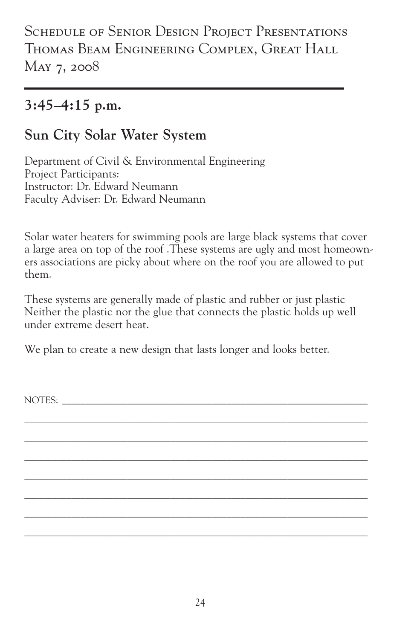SCHEDULE OF SENIOR DESIGN PROJECT PRESENTATIONS Thomas Beam Engineering Complex, Great Hall May 7, 2008

#### **3:45–4:15 p.m.**

#### **Sun City Solar Water System**

Department of Civil & Environmental Engineering Project Participants: Instructor: Dr. Edward Neumann Faculty Adviser: Dr. Edward Neumann

Solar water heaters for swimming pools are large black systems that cover a large area on top of the roof .These systems are ugly and most homeowners associations are picky about where on the roof you are allowed to put them.

These systems are generally made of plastic and rubber or just plastic Neither the plastic nor the glue that connects the plastic holds up well under extreme desert heat.

\_\_\_\_\_\_\_\_\_\_\_\_\_\_\_\_\_\_\_\_\_\_\_\_\_\_\_\_\_\_\_\_\_\_\_\_\_\_\_\_\_\_\_\_\_\_\_\_\_\_\_\_\_\_\_\_\_\_\_\_\_\_\_\_\_\_\_\_\_\_\_\_\_ \_\_\_\_\_\_\_\_\_\_\_\_\_\_\_\_\_\_\_\_\_\_\_\_\_\_\_\_\_\_\_\_\_\_\_\_\_\_\_\_\_\_\_\_\_\_\_\_\_\_\_\_\_\_\_\_\_\_\_\_\_\_\_\_\_\_\_\_\_\_\_\_\_ \_\_\_\_\_\_\_\_\_\_\_\_\_\_\_\_\_\_\_\_\_\_\_\_\_\_\_\_\_\_\_\_\_\_\_\_\_\_\_\_\_\_\_\_\_\_\_\_\_\_\_\_\_\_\_\_\_\_\_\_\_\_\_\_\_\_\_\_\_\_\_\_\_ \_\_\_\_\_\_\_\_\_\_\_\_\_\_\_\_\_\_\_\_\_\_\_\_\_\_\_\_\_\_\_\_\_\_\_\_\_\_\_\_\_\_\_\_\_\_\_\_\_\_\_\_\_\_\_\_\_\_\_\_\_\_\_\_\_\_\_\_\_\_\_\_\_ \_\_\_\_\_\_\_\_\_\_\_\_\_\_\_\_\_\_\_\_\_\_\_\_\_\_\_\_\_\_\_\_\_\_\_\_\_\_\_\_\_\_\_\_\_\_\_\_\_\_\_\_\_\_\_\_\_\_\_\_\_\_\_\_\_\_\_\_\_\_\_\_\_ \_\_\_\_\_\_\_\_\_\_\_\_\_\_\_\_\_\_\_\_\_\_\_\_\_\_\_\_\_\_\_\_\_\_\_\_\_\_\_\_\_\_\_\_\_\_\_\_\_\_\_\_\_\_\_\_\_\_\_\_\_\_\_\_\_\_\_\_\_\_\_\_\_ \_\_\_\_\_\_\_\_\_\_\_\_\_\_\_\_\_\_\_\_\_\_\_\_\_\_\_\_\_\_\_\_\_\_\_\_\_\_\_\_\_\_\_\_\_\_\_\_\_\_\_\_\_\_\_\_\_\_\_\_\_\_\_\_\_\_\_\_\_\_\_\_\_

We plan to create a new design that lasts longer and looks better.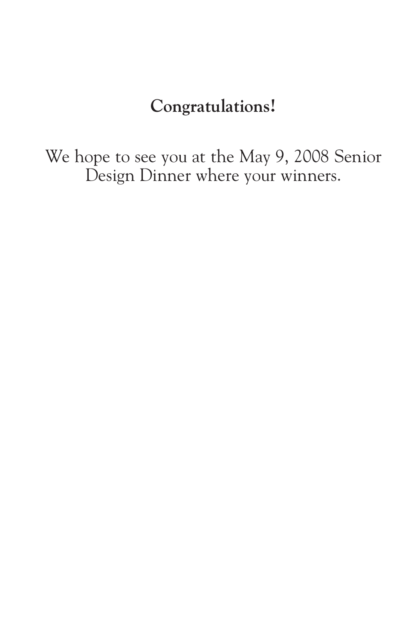#### **Congratulations!**

We hope to see you at the May 9, 2008 Senior Design Dinner where your winners.